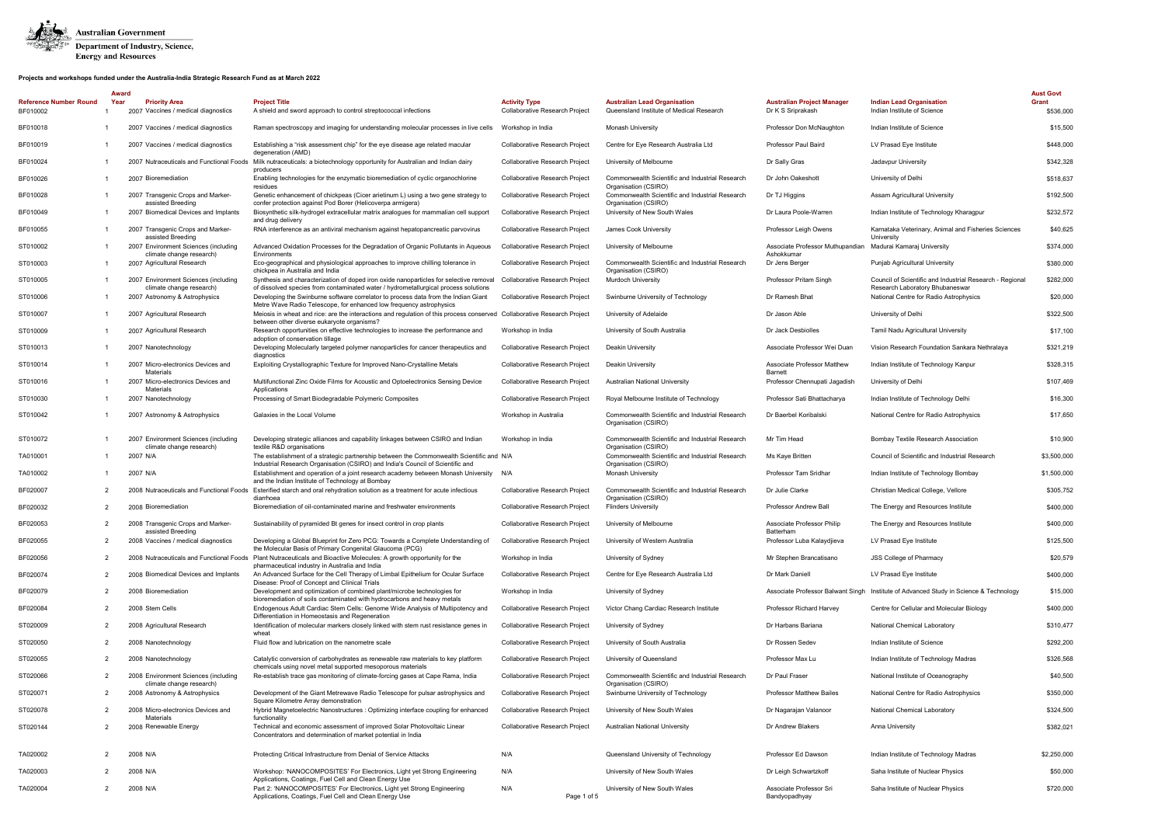

|                                           | Award |                                                                  |                                                                                                                                                                                  |                                                        |                                                                                 |                                                        |                                                                                             | <b>Aust Govt</b>   |
|-------------------------------------------|-------|------------------------------------------------------------------|----------------------------------------------------------------------------------------------------------------------------------------------------------------------------------|--------------------------------------------------------|---------------------------------------------------------------------------------|--------------------------------------------------------|---------------------------------------------------------------------------------------------|--------------------|
| <b>Reference Number Round</b><br>BF010002 | Year  | <b>Priority Area</b><br>2007 Vaccines / medical diagnostics      | <b>Project Title</b><br>A shield and sword approach to control streptococcal infections                                                                                          | <b>Activity Type</b><br>Collaborative Research Project | <b>Australian Lead Organisation</b><br>Queensland Institute of Medical Research | <b>Australian Project Manager</b><br>Dr K S Sriprakash | <b>Indian Lead Organisation</b><br>Indian Institute of Science                              | Grant<br>\$536,000 |
| BF010018                                  |       | 2007 Vaccines / medical diagnostics                              | Raman spectroscopy and imaging for understanding molecular processes in live cells                                                                                               | Workshop in India                                      | Monash University                                                               | Professor Don McNaughton                               | Indian Institute of Science                                                                 | \$15,500           |
| BF010019                                  |       | 2007 Vaccines / medical diagnostics                              | Establishing a "risk assessment chip" for the eye disease age related macular<br>degeneration (AMD)                                                                              | Collaborative Research Project                         | Centre for Eye Research Australia Ltd                                           | Professor Paul Baird                                   | LV Prasad Eve Institute                                                                     | \$448,000          |
| BF010024                                  |       |                                                                  | 2007 Nutraceuticals and Functional Foods Milk nutraceuticals: a biotechnology opportunity for Australian and Indian dairy<br>producers                                           | <b>Collaborative Research Project</b>                  | University of Melbourne                                                         | Dr Sally Gras                                          | Jadavpur University                                                                         | \$342,328          |
| BF010026                                  |       | 2007 Bioremediation                                              | Enabling technologies for the enzymatic bioremediation of cyclic organochlorine<br>residues                                                                                      | Collaborative Research Project                         | Commonwealth Scientific and Industrial Research<br>Organisation (CSIRO)         | Dr John Oakeshott                                      | University of Delhi                                                                         | \$518,637          |
| BF010028                                  |       | 2007 Transgenic Crops and Marker-<br>assisted Breeding           | Genetic enhancement of chickpeas (Cicer arietinum L) using a two gene strategy to<br>confer protection against Pod Borer (Helicoverpa armigera)                                  | Collaborative Research Project                         | Commonwealth Scientific and Industrial Research<br>Organisation (CSIRO)         | Dr TJ Higgins                                          | Assam Agricultural University                                                               | \$192,500          |
| BF010049                                  |       | 2007 Biomedical Devices and Implants                             | Biosynthetic silk-hydrogel extracellular matrix analogues for mammalian cell support<br>and drug delivery                                                                        | Collaborative Research Project                         | University of New South Wales                                                   | Dr Laura Poole-Warren                                  | Indian Institute of Technology Kharagpur                                                    | \$232,572          |
| BF010055                                  |       | 2007 Transgenic Crops and Marker-<br>assisted Breeding           | RNA interference as an antiviral mechanism against hepatopancreatic parvovirus                                                                                                   | Collaborative Research Project                         | James Cook University                                                           | Professor Leigh Owens                                  | Karnataka Veterinary, Animal and Fisheries Sciences<br>University                           | \$40,625           |
| ST010002                                  |       | 2007 Environment Sciences (including<br>climate change research) | Advanced Oxidation Processes for the Degradation of Organic Pollutants in Aqueous<br>Environments                                                                                | Collaborative Research Project                         | University of Melbourne                                                         | Associate Professor Muthupandian<br>Ashokkumar         | Madurai Kamaraj University                                                                  | \$374,000          |
| ST010003                                  |       | 2007 Agricultural Research                                       | Eco-geographical and physiological approaches to improve chilling tolerance in<br>chickpea in Australia and India                                                                | Collaborative Research Project                         | Commonwealth Scientific and Industrial Research<br>Organisation (CSIRO)         | Dr Jens Berger                                         | <b>Punjab Agricultural University</b>                                                       | \$380,000          |
| ST010005                                  |       | 2007 Environment Sciences (including<br>climate change research) | Synthesis and characterization of doped iron oxide nanoparticles for selective removal<br>of dissolved species from contaminated water / hydrometallurgical process solutions    | Collaborative Research Project                         | <b>Murdoch University</b>                                                       | Professor Pritam Singh                                 | Council of Scientific and Industrial Research - Regional<br>Research Laboratory Bhubaneswar | \$282,000          |
| ST010006                                  |       | 2007 Astronomy & Astrophysics                                    | Developing the Swinburne software correlator to process data from the Indian Giant<br>Metre Wave Radio Telescope, for enhanced low frequency astrophysics                        | Collaborative Research Project                         | Swinburne University of Technology                                              | Dr Ramesh Bhat                                         | National Centre for Radio Astrophysics                                                      | \$20,000           |
| ST010007                                  |       | 2007 Agricultural Research                                       | Meiosis in wheat and rice: are the interactions and regulation of this process conserved Collaborative Research Project<br>between other diverse eukaryote organisms?            |                                                        | University of Adelaide                                                          | Dr Jason Able                                          | University of Delhi                                                                         | \$322,500          |
| ST010009                                  |       | 2007 Agricultural Research                                       | Research opportunities on effective technologies to increase the performance and                                                                                                 | Workshop in India                                      | University of South Australia                                                   | Dr Jack Desbiolles                                     | Tamil Nadu Agricultural University                                                          | \$17,100           |
| ST010013                                  |       | 2007 Nanotechnology                                              | adoption of conservation tillage<br>Developing Molecularly targeted polymer nanoparticles for cancer therapeutics and                                                            | Collaborative Research Project                         | Deakin University                                                               | Associate Professor Wei Duan                           | Vision Research Foundation Sankara Nethralaya                                               | \$321,219          |
| ST010014                                  |       | 2007 Micro-electronics Devices and<br>Materials                  | diagnostics<br>Exploiting Crystallographic Texture for Improved Nano-Crystalline Metals                                                                                          | Collaborative Research Project                         | Deakin University                                                               | Associate Professor Matthew<br>Barnett                 | Indian Institute of Technology Kanpur                                                       | \$328,315          |
| ST010016                                  |       | 2007 Micro-electronics Devices and                               | Multifunctional Zinc Oxide Films for Acoustic and Optoelectronics Sensing Device                                                                                                 | Collaborative Research Project                         | Australian National University                                                  | Professor Chennupati Jagadish                          | University of Delhi                                                                         | \$107,469          |
| ST010030                                  |       | Materials<br>2007 Nanotechnology                                 | Applications<br>Processing of Smart Biodegradable Polymeric Composites                                                                                                           | Collaborative Research Project                         | Royal Melbourne Institute of Technology                                         | Professor Sati Bhattacharya                            | Indian Institute of Technology Delhi                                                        | \$16,300           |
| ST010042                                  |       | 2007 Astronomy & Astrophysics                                    | Galaxies in the Local Volume                                                                                                                                                     | Workshop in Australia                                  | Commonwealth Scientific and Industrial Research<br>Organisation (CSIRO)         | Dr Baerbel Koribalski                                  | National Centre for Radio Astrophysics                                                      | \$17,650           |
| ST010072                                  |       | 2007 Environment Sciences (including                             | Developing strategic alliances and capability linkages between CSIRO and Indian                                                                                                  | Workshop in India                                      | Commonwealth Scientific and Industrial Research                                 | Mr Tim Head                                            | <b>Bombay Textile Research Association</b>                                                  | \$10,900           |
| TA010001                                  |       | climate change research)<br>2007 N/A                             | textile R&D organisations<br>The establishment of a strategic partnership between the Commonwealth Scientific and N/A                                                            |                                                        | Organisation (CSIRO)<br>Commonwealth Scientific and Industrial Research         | Ms Kaye Britten                                        | Council of Scientific and Industrial Research                                               | \$3,500,000        |
| TA010002                                  |       | 2007 N/A                                                         | Industrial Research Organisation (CSIRO) and India's Council of Scientific and<br>Establishment and operation of a joint research academy between Monash University N/A          |                                                        | Organisation (CSIRO)<br>Monash University                                       | Professor Tam Sridhar                                  | Indian Institute of Technology Bombay                                                       | \$1,500,000        |
| BF020007                                  | 2     |                                                                  | and the Indian Institute of Technology at Bombay<br>2008 Nutraceuticals and Functional Foods Esterified starch and oral rehydration solution as a treatment for acute infectious | Collaborative Research Project                         | Commonwealth Scientific and Industrial Research                                 | Dr Julie Clarke                                        | Christian Medical College, Vellore                                                          | \$305,752          |
| BF020032                                  |       | 2008 Bioremediation                                              | diarrhoea<br>Bioremediation of oil-contaminated marine and freshwater environments                                                                                               | <b>Collaborative Research Project</b>                  | Organisation (CSIRO)<br><b>Flinders University</b>                              | Professor Andrew Ball                                  | The Energy and Resources Institute                                                          | \$400,000          |
| BF020053                                  |       | 2008 Transgenic Crops and Marker-                                | Sustainability of pyramided Bt genes for insect control in crop plants                                                                                                           | <b>Collaborative Research Project</b>                  | University of Melbourne                                                         | Associate Professor Philip                             | The Energy and Resources Institute                                                          | \$400,000          |
| BF020055                                  |       | assisted Breeding<br>2008 Vaccines / medical diagnostics         | Developing a Global Blueprint for Zero PCG: Towards a Complete Understanding of                                                                                                  | Collaborative Research Project                         | University of Western Australia                                                 | <b>Batterham</b><br>Professor Luba Kalaydjieva         | LV Prasad Eye Institute                                                                     | \$125,500          |
| BF020056                                  | 2     |                                                                  | the Molecular Basis of Primary Congenital Glaucoma (PCG)<br>2008 Nutraceuticals and Functional Foods Plant Nutraceuticals and Bioactive Molecules: A growth opportunity for the  | Workshop in India                                      | University of Sydney                                                            | Mr Stephen Brancatisano                                | <b>JSS College of Pharmacy</b>                                                              | \$20,579           |
| BF020074                                  |       | 2008 Biomedical Devices and Implants                             | pharmaceutical industry in Australia and India<br>An Advanced Surface for the Cell Therapy of Limbal Epithelium for Ocular Surface                                               | <b>Collaborative Research Project</b>                  | Centre for Eye Research Australia Ltd                                           | Dr Mark Daniell                                        | LV Prasad Eye Institute                                                                     | \$400,000          |
| BF020079                                  | 2     | 2008 Bioremediation                                              | Disease: Proof of Concept and Clinical Trials<br>Development and optimization of combined plant/microbe technologies for                                                         | Workshop in India                                      | University of Sydney                                                            |                                                        | Associate Professor Balwant Singh Institute of Advanced Study in Science & Technology       | \$15,000           |
| BF020084                                  |       | 2008 Stem Cells                                                  | bioremediation of soils contaminated with hydrocarbons and heavy metals<br>Endogenous Adult Cardiac Stem Cells: Genome Wide Analysis of Multipotency and                         | <b>Collaborative Research Project</b>                  | Victor Chang Cardiac Research Institute                                         | Professor Richard Harvey                               | Centre for Cellular and Molecular Biology                                                   | \$400,000          |
| ST020009                                  | 2     | 2008 Agricultural Research                                       | Differentiation in Homeostasis and Regeneration<br>Identification of molecular markers closely linked with stem rust resistance genes in                                         | Collaborative Research Project                         | University of Sydney                                                            | Dr Harbans Bariana                                     | National Chemical Laboratory                                                                | \$310,477          |
| ST020050                                  | 2     | 2008 Nanotechnology                                              | wheat<br>Fluid flow and lubrication on the nanometre scale                                                                                                                       | Collaborative Research Project                         | University of South Australia                                                   | Dr Rossen Sedev                                        | Indian Institute of Science                                                                 | \$292,200          |
| ST020055                                  |       | 2008 Nanotechnology                                              | Catalytic conversion of carbohydrates as renewable raw materials to key platform                                                                                                 | Collaborative Research Project                         | University of Queensland                                                        | Professor Max Lu                                       | Indian Institute of Technology Madras                                                       | \$326,568          |
| ST020066                                  |       | 2008 Environment Sciences (including                             | chemicals using novel metal supported mesoporous materials<br>Re-establish trace gas monitoring of climate-forcing gases at Cape Rama, India                                     | Collaborative Research Project                         | Commonwealth Scientific and Industrial Research                                 | Dr Paul Fraser                                         | National Institute of Oceanography                                                          | \$40,500           |
| ST020071                                  | 2     | climate change research)<br>2008 Astronomy & Astrophysics        | Development of the Giant Metrewave Radio Telescope for pulsar astrophysics and                                                                                                   | Collaborative Research Project                         | Organisation (CSIRO)<br>Swinburne University of Technology                      | Professor Matthew Bailes                               | National Centre for Radio Astrophysics                                                      | \$350,000          |
| ST020078                                  | 2     | 2008 Micro-electronics Devices and                               | Square Kilometre Array demonstration<br>Hybrid Magnetoelectric Nanostructures : Optimizing interface coupling for enhanced                                                       | <b>Collaborative Research Project</b>                  | University of New South Wales                                                   | Dr Nagarajan Valanoor                                  | National Chemical Laboratory                                                                | \$324,500          |
| ST020144                                  |       | Materials<br>2008 Renewable Energy                               | functionality<br>Technical and economic assessment of improved Solar Photovoltaic Linear                                                                                         | Collaborative Research Project                         | <b>Australian National University</b>                                           | Dr Andrew Blakers                                      | Anna University                                                                             | \$382,021          |
|                                           |       |                                                                  | Concentrators and determination of market potential in India                                                                                                                     |                                                        |                                                                                 |                                                        |                                                                                             |                    |
| TA020002                                  | 2     | 2008 N/A                                                         | Protecting Critical Infrastructure from Denial of Service Attacks                                                                                                                | N/A                                                    | Queensland University of Technology                                             | Professor Ed Dawson                                    | Indian Institute of Technology Madras                                                       | \$2,250,000        |
| TA020003                                  |       | 2008 N/A                                                         | Workshop: 'NANOCOMPOSITES' For Electronics, Light yet Strong Engineering<br>Applications, Coatings, Fuel Cell and Clean Energy Use                                               | N/A                                                    | University of New South Wales                                                   | Dr Leigh Schwartzkoff                                  | Saha Institute of Nuclear Physics                                                           | \$50,000           |
| TA020004                                  |       | 2008 N/A                                                         | Part 2: 'NANOCOMPOSITES' For Electronics, Light yet Strong Engineering<br>Applications, Coatings, Fuel Cell and Clean Energy Use                                                 | N/A<br>Page 1 of 5                                     | University of New South Wales                                                   | Associate Professor Sri<br>Bandyopadhyay               | Saha Institute of Nuclear Physics                                                           | \$720,000          |
|                                           |       |                                                                  |                                                                                                                                                                                  |                                                        |                                                                                 |                                                        |                                                                                             |                    |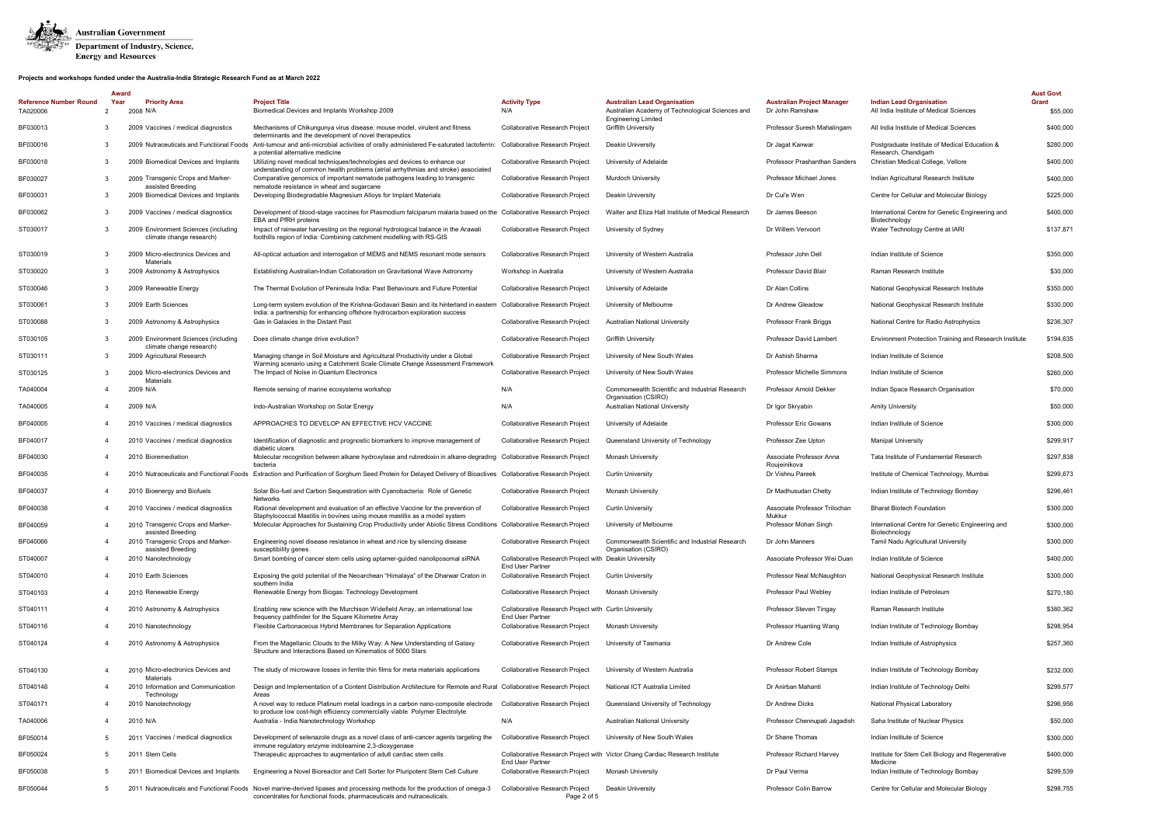

|                                           | Award     |                                                                  |                                                                                                                                                                                                      |                                                                                  |                                                                                                                       |                                                      |                                                                            | <b>Aust Govt</b>  |
|-------------------------------------------|-----------|------------------------------------------------------------------|------------------------------------------------------------------------------------------------------------------------------------------------------------------------------------------------------|----------------------------------------------------------------------------------|-----------------------------------------------------------------------------------------------------------------------|------------------------------------------------------|----------------------------------------------------------------------------|-------------------|
| <b>Reference Number Round</b><br>TA020006 | Year<br>2 | <b>Priority Area</b><br>2008 N/A                                 | <b>Project Title</b><br>Biomedical Devices and Implants Workshop 2009                                                                                                                                | <b>Activity Type</b><br>N/A                                                      | <b>Australian Lead Organisation</b><br>Australian Academy of Technological Sciences and<br><b>Engineering Limited</b> | <b>Australian Project Manager</b><br>Dr John Ramshaw | <b>Indian Lead Organisation</b><br>All India Institute of Medical Sciences | Grant<br>\$55,000 |
| BF030013                                  | 3         | 2009 Vaccines / medical diagnostics                              | Mechanisms of Chikungunya virus disease: mouse model, virulent and fitness<br>determinants and the development of novel therapeutics                                                                 | Collaborative Research Project                                                   | <b>Griffith University</b>                                                                                            | Professor Suresh Mahalingam                          | All India Institute of Medical Sciences                                    | \$400,000         |
| BF030016                                  |           | 2009 Nutraceuticals and Functional Foods                         | Anti-tumour and anti-microbial activities of orally administered Fe-saturated lactoferrin: Collaborative Research Project<br>a potential alternative medicine                                        |                                                                                  | Deakin University                                                                                                     | Dr Jagat Kanwar                                      | Postgraduate Institute of Medical Education &<br>Research, Chandigarh      | \$280,000         |
| BF030018                                  | 3         | 2009 Biomedical Devices and Implants                             | Utilizing novel medical techniques/technologies and devices to enhance our<br>understanding of common health problems (atrial arrhythmias and stroke) associated                                     | Collaborative Research Project                                                   | University of Adelaide                                                                                                | Professor Prashanthan Sanders                        | Christian Medical College, Vellore                                         | \$400,000         |
| BF030027                                  | 3         | 2009 Transgenic Crops and Marker-<br>assisted Breeding           | Comparative genomics of important nematode pathogens leading to transgenic<br>nematode resistance in wheat and sugarcane                                                                             | Collaborative Research Project                                                   | <b>Murdoch University</b>                                                                                             | Professor Michael Jones                              | Indian Agricultural Research Institute                                     | \$400,000         |
| BF030031                                  | 3         | 2009 Biomedical Devices and Implants                             | Developing Biodegradable Magnesium Alloys for Implant Materials                                                                                                                                      | Collaborative Research Project                                                   | Deakin University                                                                                                     | Dr Cui'e Wen                                         | Centre for Cellular and Molecular Biology                                  | \$225,000         |
| BF030062                                  | 3         | 2009 Vaccines / medical diagnostics                              | Development of blood-stage vaccines for Plasmodium falciparum malaria based on the Collaborative Research Project<br><b>EBA and PfRH proteins</b>                                                    |                                                                                  | Walter and Eliza Hall Institute of Medical Research                                                                   | Dr James Beeson                                      | International Centre for Genetic Engineering and<br>Biotechnology          | \$400,000         |
| ST030017                                  | 3         | 2009 Environment Sciences (including<br>climate change research) | Impact of rainwater harvesting on the regional hydrological balance in the Arawali<br>foothills region of India: Combining catchment modelling with RS-GIS                                           | Collaborative Research Project                                                   | University of Sydney                                                                                                  | Dr Willem Vervoort                                   | Water Technology Centre at IARI                                            | \$137,871         |
| ST030019                                  |           | 2009 Micro-electronics Devices and<br>Materials                  | All-optical actuation and interrogation of MEMS and NEMS resonant mode sensors                                                                                                                       | Collaborative Research Project                                                   | University of Western Australia                                                                                       | Professor John Dell                                  | Indian Institute of Science                                                | \$350,000         |
| ST030020                                  |           | 2009 Astronomy & Astrophysics                                    | Establishing Australian-Indian Collaboration on Gravitational Wave Astronomy                                                                                                                         | Workshop in Australia                                                            | University of Western Australia                                                                                       | Professor David Blair                                | Raman Research Institute                                                   | \$30,000          |
| ST030046                                  | 3         | 2009 Renewable Energy                                            | The Thermal Evolution of Peninsula India: Past Behaviours and Future Potential                                                                                                                       | Collaborative Research Project                                                   | University of Adelaide                                                                                                | Dr Alan Collins                                      | National Geophysical Research Institute                                    | \$350,000         |
| ST030061                                  | 3         | 2009 Earth Sciences                                              | Long-term system evolution of the Krishna-Godavari Basin and its hinterland in eastern<br>India: a partnership for enhancing offshore hydrocarbon exploration success                                | Collaborative Research Project                                                   | University of Melbourne                                                                                               | Dr Andrew Gleadow                                    | National Geophysical Research Institute                                    | \$330,000         |
| ST030088                                  | 3         | 2009 Astronomy & Astrophysics                                    | Gas in Galaxies in the Distant Past                                                                                                                                                                  | Collaborative Research Project                                                   | Australian National University                                                                                        | Professor Frank Briggs                               | National Centre for Radio Astrophysics                                     | \$236,307         |
| ST030105                                  | 3         | 2009 Environment Sciences (including<br>climate change research) | Does climate change drive evolution?                                                                                                                                                                 | <b>Collaborative Research Project</b>                                            | <b>Griffith University</b>                                                                                            | <b>Professor David Lambert</b>                       | <b>Environment Protection Training and Research Institute</b>              | \$194,635         |
| ST030111                                  |           | 2009 Agricultural Research                                       | Managing change in Soil Moisture and Agricultural Productivity under a Global<br>Warming scenario using a Catchment Scale Climate Change Assessment Framework                                        | Collaborative Research Project                                                   | University of New South Wales                                                                                         | Dr Ashish Sharma                                     | Indian Institute of Science                                                | \$208,500         |
| ST030125                                  | 3         | 2009 Micro-electronics Devices and<br>Materials                  | The Impact of Noise in Quantum Electronics                                                                                                                                                           | <b>Collaborative Research Project</b>                                            | University of New South Wales                                                                                         | <b>Professor Michelle Simmons</b>                    | Indian Institute of Science                                                | \$260,000         |
| TA040004                                  |           | 2009 N/A                                                         | Remote sensing of marine ecosystems workshop                                                                                                                                                         | N/A                                                                              | Commonwealth Scientific and Industrial Research<br>Organisation (CSIRO)                                               | Professor Arnold Dekker                              | Indian Space Research Organisation                                         | \$70,000          |
| TA040005                                  | 4         | 2009 N/A                                                         | Indo-Australian Workshop on Solar Energy                                                                                                                                                             | N/A                                                                              | <b>Australian National University</b>                                                                                 | Dr Igor Skryabin                                     | <b>Amity University</b>                                                    | \$50,000          |
| BF040005                                  | 4         | 2010 Vaccines / medical diagnostics                              | APPROACHES TO DEVELOP AN EFFECTIVE HCV VACCINE                                                                                                                                                       | <b>Collaborative Research Project</b>                                            | University of Adelaide                                                                                                | Professor Eric Gowans                                | Indian Institute of Science                                                | \$300,000         |
| BF040017                                  | 4         | 2010 Vaccines / medical diagnostics                              | Identification of diagnostic and prognostic biomarkers to improve management of<br>diabetic ulcers                                                                                                   | <b>Collaborative Research Project</b>                                            | Queensland University of Technology                                                                                   | Professor Zee Upton                                  | <b>Manipal University</b>                                                  | \$299,917         |
| BF040030                                  | 4         | 2010 Bioremediation                                              | Molecular recognition between alkane hydroxylase and rubredoxin in alkane-degrading Collaborative Research Project<br>bacteria                                                                       |                                                                                  | Monash University                                                                                                     | Associate Professor Anna<br>Roujeinikova             | Tata Institute of Fundamental Research                                     | \$297,838         |
| BF040035                                  |           | 2010 Nutraceuticals and Functional Foods                         | Extraction and Purification of Sorghum Seed Protein for Delayed Delivery of Bioactives Collaborative Research Project                                                                                |                                                                                  | <b>Curtin University</b>                                                                                              | Dr Vishnu Pareek                                     | Institute of Chemical Technology, Mumbai                                   | \$299,673         |
| BF040037                                  | 4         | 2010 Bioenergy and Biofuels                                      | Solar Bio-fuel and Carbon Sequestration with Cyanobacteria: Role of Genetic<br>Networks                                                                                                              | <b>Collaborative Research Project</b>                                            | Monash University                                                                                                     | Dr Madhusudan Chetty                                 | Indian Institute of Technology Bombay                                      | \$296,461         |
| BF040038                                  |           | 2010 Vaccines / medical diagnostics                              | Rational development and evaluation of an effective Vaccine for the prevention of<br>Staphylococcal Mastitis in bovines using mouse mastitis as a model system                                       | <b>Collaborative Research Project</b>                                            | <b>Curtin University</b>                                                                                              | Associate Professor Trilochan<br>Mukkur              | <b>Bharat Biotech Foundation</b>                                           | \$300,000         |
| BF040059                                  |           | 2010 Transgenic Crops and Marker-<br>assisted Breeding           | Molecular Approaches for Sustaining Crop Productivity under Abiotic Stress Conditions Collaborative Research Project                                                                                 |                                                                                  | University of Melbourne                                                                                               | Professor Mohan Singh                                | International Centre for Genetic Engineering and<br>Biotechnology          | \$300,000         |
| BF040066                                  |           | 2010 Transgenic Crops and Marker-<br>assisted Breeding           | Engineering novel disease resistance in wheat and rice by silencing disease<br>susceptibility genes                                                                                                  | Collaborative Research Project                                                   | Commonwealth Scientific and Industrial Research<br>Organisation (CSIRO)                                               | Dr John Manners                                      | Tamil Nadu Agricultural University                                         | \$300,000         |
| ST040007                                  | 4         | 2010 Nanotechnology                                              | Smart bombing of cancer stem cells using aptamer-guided nanoliposomal siRNA                                                                                                                          | Collaborative Research Project with Deakin University<br><b>End User Partner</b> |                                                                                                                       | Associate Professor Wei Duan                         | Indian Institute of Science                                                | \$400,000         |
| ST040010                                  | 4         | 2010 Earth Sciences                                              | Exposing the gold potential of the Neoarchean "Himalaya" of the Dharwar Craton in<br>southern India                                                                                                  | <b>Collaborative Research Project</b>                                            | <b>Curtin University</b>                                                                                              | Professor Neal McNaughton                            | National Geophysical Research Institute                                    | \$300,000         |
| ST040103                                  | 4         | 2010 Renewable Energy                                            | Renewable Energy from Biogas: Technology Development                                                                                                                                                 | Collaborative Research Project                                                   | Monash University                                                                                                     | Professor Paul Webley                                | Indian Institute of Petroleum                                              | \$270,180         |
| ST040111                                  |           | 2010 Astronomy & Astrophysics                                    | Enabling new science with the Murchison Widefield Array, an international low<br>frequency pathfinder for the Square Kilometre Array                                                                 | Collaborative Research Project with Curtin University<br><b>End User Partner</b> |                                                                                                                       | Professor Steven Tingay                              | Raman Research Institute                                                   | \$380,362         |
| ST040116                                  |           | 2010 Nanotechnology                                              | Flexible Carbonaceous Hybrid Membranes for Separation Applications                                                                                                                                   | Collaborative Research Project                                                   | Monash University                                                                                                     | Professor Huanting Wang                              | Indian Institute of Technology Bombay                                      | \$298,954         |
| ST040124                                  |           | 2010 Astronomy & Astrophysics                                    | From the Magellanic Clouds to the Milky Way: A New Understanding of Galaxy<br>Structure and Interactions Based on Kinematics of 5000 Stars                                                           | Collaborative Research Project                                                   | University of Tasmania                                                                                                | Dr Andrew Cole                                       | Indian Institute of Astrophysics                                           | \$257,360         |
| ST040130                                  |           | 2010 Micro-electronics Devices and<br>Materials                  | The study of microwave losses in ferrite thin films for meta materials applications                                                                                                                  | Collaborative Research Project                                                   | University of Western Australia                                                                                       | Professor Robert Stamps                              | Indian Institute of Technology Bombay                                      | \$232,000         |
| ST040148                                  | 4         | 2010 Information and Communication<br>Technology                 | Design and Implementation of a Content Distribution Architecture for Remote and Rural Collaborative Research Project<br>Areas                                                                        |                                                                                  | National ICT Australia Limited                                                                                        | Dr Anirban Mahanti                                   | Indian Institute of Technology Delhi                                       | \$299,577         |
| ST040171                                  |           | 2010 Nanotechnology                                              | A novel way to reduce Platinum metal loadings in a carbon nano-composite electrode<br>to produce low cost-high efficiency commercially viable Polymer Electrolyte                                    | Collaborative Research Project                                                   | Queensland University of Technology                                                                                   | Dr Andrew Dicks                                      | National Physical Laboratory                                               | \$296,956         |
| TA040006                                  | 4         | 2010 N/A                                                         | Australia - India Nanotechnology Workshop                                                                                                                                                            | N/A                                                                              | Australian National University                                                                                        | Professor Chennupati Jagadish                        | Saha Institute of Nuclear Physics                                          | \$50,000          |
| BF050014                                  |           | Vaccines / medical diagnostics<br>-201                           | Development of selenazole drugs as a novel class of anti-cancer agents targeting the<br>immune regulatory enzyme indoleamine 2,3-dioxygenase                                                         | Collaborative Research Project                                                   | University of New South Wales                                                                                         | Dr Shane Thomas                                      | Indian Institute of Science                                                | \$300,000         |
| BF050024                                  | 5         | 2011 Stem Cells                                                  | Therapeutic approaches to augmentation of adult cardiac stem cells                                                                                                                                   | <b>End User Partner</b>                                                          | Collaborative Research Project with Victor Chang Cardiac Research Institute                                           | Professor Richard Harvey                             | Institute for Stem Cell Biology and Regenerative<br>Medicine               | \$400,000         |
| BF050038                                  |           | <b>Biomedical Devices and Implants</b><br>201                    | Engineering a Novel Bioreactor and Cell Sorter for Pluripotent Stem Cell Culture                                                                                                                     | Collaborative Research Project                                                   | <b>Monash University</b>                                                                                              | Dr Paul Verma                                        | Indian Institute of Technology Bombay                                      | \$299,539         |
| BF050044                                  |           |                                                                  | 2011 Nutraceuticals and Functional Foods Novel marine-derived lipases and processing methods for the production of omega-3<br>concentrates for functional foods, pharmaceuticals and nutraceuticals. | Collaborative Research Project<br>Page 2 of 5                                    | Deakin University                                                                                                     | Professor Colin Barrow                               | Centre for Cellular and Molecular Biology                                  | \$298,755         |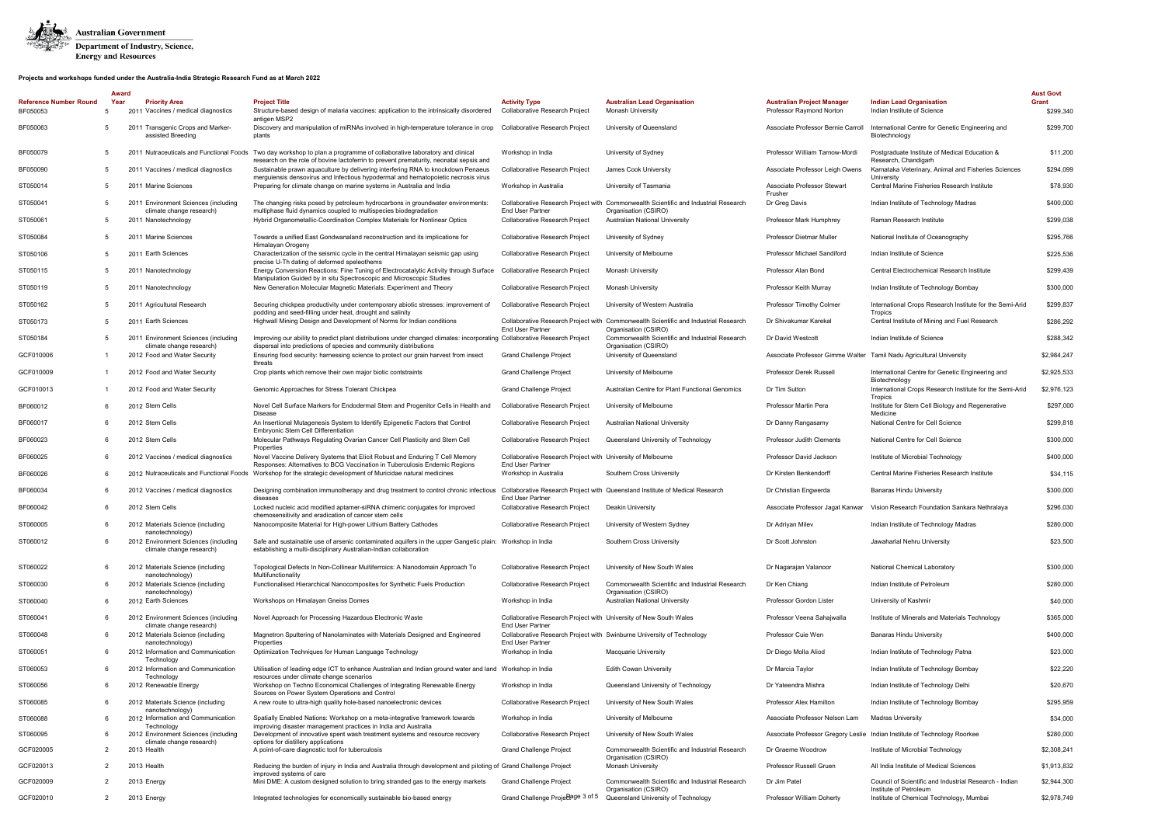

|                                           | Award |                                                                  |                                                                                                                                                                                                                  |                                                                                              |                                                                                                             |                                                               |                                                                                  | <b>Aust Govt</b>   |
|-------------------------------------------|-------|------------------------------------------------------------------|------------------------------------------------------------------------------------------------------------------------------------------------------------------------------------------------------------------|----------------------------------------------------------------------------------------------|-------------------------------------------------------------------------------------------------------------|---------------------------------------------------------------|----------------------------------------------------------------------------------|--------------------|
| <b>Reference Number Round</b><br>BF050053 | Year  | <b>Priority Area</b><br>2011 Vaccines / medical diagnostics      | <b>Project Title</b><br>Structure-based design of malaria vaccines: application to the intrinsically disordered                                                                                                  | <b>Activity Type</b><br>Collaborative Research Project                                       | <b>Australian Lead Organisation</b><br><b>Monash University</b>                                             | <b>Australian Project Manager</b><br>Professor Raymond Norton | <b>Indian Lead Organisation</b><br>Indian Institute of Science                   | Grant<br>\$299,340 |
| BF050063                                  | 5     | 2011 Transgenic Crops and Marker-<br>assisted Breeding           | antigen MSP2<br>Discovery and manipulation of miRNAs involved in high-temperature tolerance in crop<br>plants                                                                                                    | Collaborative Research Project                                                               | University of Queensland                                                                                    | Associate Professor Bernie Carroll                            | International Centre for Genetic Engineering and<br>Biotechnology                | \$299,700          |
| BF050079                                  |       |                                                                  | 2011 Nutraceuticals and Functional Foods Two day workshop to plan a programme of collaborative laboratory and clinical<br>research on the role of bovine lactoferrin to prevent prematurity, neonatal sepsis and | Workshop in India                                                                            | University of Sydney                                                                                        | Professor William Tarnow-Mordi                                | Postgraduate Institute of Medical Education &<br>Research, Chandigarh            | \$11,200           |
| BF050090                                  | 5     | Vaccines / medical diagnostics<br>2011                           | Sustainable prawn aquaculture by delivering interfering RNA to knockdown Penaeus<br>merguiensis densovirus and Infectious hypodermal and hematopoietic necrosis virus                                            | Collaborative Research Project                                                               | James Cook University                                                                                       | Associate Professor Leigh Owens                               | Karnataka Veterinary, Animal and Fisheries Sciences<br>University                | \$294,099          |
| ST050014                                  | 5     | 2011 Marine Sciences                                             | Preparing for climate change on marine systems in Australia and India                                                                                                                                            | Workshop in Australia                                                                        | University of Tasmania                                                                                      | Associate Professor Stewart<br>Frusher                        | Central Marine Fisheries Research Institute                                      | \$78,930           |
| ST050041                                  |       | 2011 Environment Sciences (including<br>climate change research) | The changing risks posed by petroleum hydrocarbons in groundwater environments:<br>multiphase fluid dynamics coupled to multispecies biodegradation                                                              | <b>End User Partner</b>                                                                      | Collaborative Research Project with Commonwealth Scientific and Industrial Research<br>Organisation (CSIRO) | Dr Greg Davis                                                 | Indian Institute of Technology Madras                                            | \$400,000          |
| ST050061                                  |       | 2011 Nanotechnology                                              | Hybrid Organometallic-Coordination Complex Materials for Nonlinear Optics                                                                                                                                        | <b>Collaborative Research Project</b>                                                        | <b>Australian National University</b>                                                                       | Professor Mark Humphrey                                       | Raman Research Institute                                                         | \$299,038          |
| ST050084                                  |       | <b>Marine Sciences</b><br>201                                    | Towards a unified East Gondwanaland reconstruction and its implications for<br>Himalayan Orogeny                                                                                                                 | Collaborative Research Project                                                               | University of Sydney                                                                                        | Professor Dietmar Muller                                      | National Institute of Oceanography                                               | \$295,766          |
| ST050106                                  |       | 2011 Earth Sciences                                              | Characterization of the seismic cycle in the central Himalayan seismic gap using<br>precise U-Th dating of deformed speleothems                                                                                  | Collaborative Research Project                                                               | University of Melbourne                                                                                     | Professor Michael Sandiford                                   | Indian Institute of Science                                                      | \$225,536          |
| ST050115                                  |       | 2011 Nanotechnology                                              | Energy Conversion Reactions: Fine Tuning of Electrocatalytic Activity through Surface<br>Manipulation Guided by in situ Spectroscopic and Microscopic Studies                                                    | Collaborative Research Project                                                               | Monash University                                                                                           | Professor Alan Bond                                           | Central Electrochemical Research Institute                                       | \$299,439          |
| ST050119                                  | 5     | 2011 Nanotechnology                                              | New Generation Molecular Magnetic Materials: Experiment and Theory                                                                                                                                               | Collaborative Research Project                                                               | <b>Monash University</b>                                                                                    | Professor Keith Murray                                        | Indian Institute of Technology Bombay                                            | \$300,000          |
| ST050162                                  | 5     | 2011 Agricultural Research                                       | Securing chickpea productivity under contemporary abiotic stresses: improvement of<br>podding and seed-filling under heat, drought and salinity                                                                  | <b>Collaborative Research Project</b>                                                        | University of Western Australia                                                                             | Professor Timothy Colmer                                      | International Crops Research Institute for the Semi-Arid<br>Tropics              | \$299,837          |
| ST050173                                  | 5     | 2011 Earth Sciences                                              | Highwall Mining Design and Development of Norms for Indian conditions                                                                                                                                            | <b>End User Partner</b>                                                                      | Collaborative Research Project with Commonwealth Scientific and Industrial Research<br>Organisation (CSIRO) | Dr Shivakumar Karekal                                         | Central Institute of Mining and Fuel Research                                    | \$286,292          |
| ST050184                                  |       | 2011 Environment Sciences (including<br>climate change research) | Improving our ability to predict plant distributions under changed climates: incorporating Collaborative Research Project<br>dispersal into predictions of species and community distributions                   |                                                                                              | Commonwealth Scientific and Industrial Research<br>Organisation (CSIRO)                                     | Dr David Westcott                                             | Indian Institute of Science                                                      | \$288,342          |
| GCF010006                                 |       | 2012 Food and Water Security                                     | Ensuring food security: harnessing science to protect our grain harvest from insect<br>threats                                                                                                                   | Grand Challenge Project                                                                      | University of Queensland                                                                                    |                                                               | Associate Professor Gimme Walter Tamil Nadu Agricultural University              | \$2,984,247        |
| GCF010009                                 |       | 2012 Food and Water Security                                     | Crop plants which remove their own major biotic contstraints                                                                                                                                                     | Grand Challenge Project                                                                      | University of Melbourne                                                                                     | Professor Derek Russell                                       | International Centre for Genetic Engineering and<br>Biotechnology                | \$2,925,533        |
| GCF010013                                 |       | 2012 Food and Water Security                                     | Genomic Approaches for Stress Tolerant Chickpea                                                                                                                                                                  | Grand Challenge Project                                                                      | Australian Centre for Plant Functional Genomics                                                             | Dr Tim Sutton                                                 | International Crops Research Institute for the Semi-Arid<br>Tropics              | \$2,976,123        |
| BF060012                                  |       | 2012 Stem Cells                                                  | Novel Cell Surface Markers for Endodermal Stem and Progenitor Cells in Health and<br><b>Disease</b>                                                                                                              | Collaborative Research Project                                                               | University of Melbourne                                                                                     | Professor Martin Pera                                         | Institute for Stem Cell Biology and Regenerative<br>Medicine                     | \$297,000          |
| BF060017                                  |       | 2012 Stem Cells                                                  | An Insertional Mutagenesis System to Identify Epigenetic Factors that Control<br><b>Embryonic Stem Cell Differentiation</b>                                                                                      | Collaborative Research Project                                                               | Australian National University                                                                              | Dr Danny Rangasamy                                            | National Centre for Cell Science                                                 | \$299,818          |
| BF060023                                  |       | 2012 Stem Cells                                                  | Molecular Pathways Regulating Ovarian Cancer Cell Plasticity and Stem Cell<br>Properties                                                                                                                         | Collaborative Research Project                                                               | Queensland University of Technology                                                                         | Professor Judith Clements                                     | National Centre for Cell Science                                                 | \$300,000          |
| BF060025                                  |       | 2012 Vaccines / medical diagnostics                              | Novel Vaccine Delivery Systems that Elicit Robust and Enduring T Cell Memory<br>Responses: Alternatives to BCG Vaccination in Tuberculosis Endemic Regions                                                       | Collaborative Research Project with University of Melbourne<br><b>End User Partner</b>       |                                                                                                             | Professor David Jackson                                       | Institute of Microbial Technology                                                | \$400,000          |
| BF060026                                  |       |                                                                  | 2012 Nutraceuticals and Functional Foods Workshop for the strategic development of Muricidae natural medicines                                                                                                   | Workshop in Australia                                                                        | Southern Cross University                                                                                   | Dr Kirsten Benkendorff                                        | Central Marine Fisheries Research Institute                                      | \$34,115           |
| BF060034                                  |       | 2012 Vaccines / medical diagnostics                              | Designing combination immunotherapy and drug treatment to control chronic infectious<br>diseases                                                                                                                 | <b>End User Partner</b>                                                                      | Collaborative Research Project with Queensland Institute of Medical Research                                | Dr Christian Engwerda                                         | <b>Banaras Hindu University</b>                                                  | \$300,000          |
| BF060042                                  |       | 2012 Stem Cells                                                  | Locked nucleic acid modified aptamer-siRNA chimeric conjugates for improved<br>chemosensitivity and eradication of cancer stem cells                                                                             | Collaborative Research Project                                                               | Deakin University                                                                                           |                                                               | Associate Professor Jagat Kanwar Vision Research Foundation Sankara Nethralaya   | \$296,030          |
| ST060005                                  |       | 2012 Materials Science (including<br>nanotechnology)             | Nanocomposite Material for High-power Lithium Battery Cathodes                                                                                                                                                   | Collaborative Research Project University of Western Sydney                                  |                                                                                                             | Dr Adriyan Milev                                              | Indian Institute of Technology Madras                                            | \$280,000          |
| ST060012                                  |       | 2012 Environment Sciences (including<br>climate change research) | Safe and sustainable use of arsenic contaminated aquifers in the upper Gangetic plain: Workshop in India<br>establishing a multi-disciplinary Australian-Indian collaboration                                    |                                                                                              | Southern Cross University                                                                                   | Dr Scott Johnston                                             | Jawaharlal Nehru University                                                      | \$23,500           |
| ST060022                                  | 6     | 2012 Materials Science (including<br>nanotechnology)             | Topological Defects In Non-Collinear Multiferroics: A Nanodomain Approach To<br>Multifunctionality                                                                                                               | <b>Collaborative Research Project</b>                                                        | University of New South Wales                                                                               | Dr Nagarajan Valanoor                                         | <b>National Chemical Laboratory</b>                                              | \$300,000          |
| ST060030                                  |       | 2012 Materials Science (including<br>nanotechnology)             | Functionalised Hierarchical Nanocomposites for Synthetic Fuels Production                                                                                                                                        | Collaborative Research Project                                                               | Commonwealth Scientific and Industrial Research<br>Organisation (CSIRO)                                     | Dr Ken Chiang                                                 | Indian Institute of Petroleum                                                    | \$280,000          |
| ST060040                                  | 6     | 2012 Earth Sciences                                              | Workshops on Himalayan Gneiss Domes                                                                                                                                                                              | Workshop in India                                                                            | <b>Australian National University</b>                                                                       | Professor Gordon Lister                                       | University of Kashmir                                                            | \$40,000           |
| ST060041                                  |       | 2012 Environment Sciences (including<br>climate change research) | Novel Approach for Processing Hazardous Electronic Waste                                                                                                                                                         | Collaborative Research Project with University of New South Wales<br><b>End User Partner</b> |                                                                                                             | Professor Veena Sahajwalla                                    | Institute of Minerals and Materials Technology                                   | \$365,000          |
| ST060048                                  |       | 2012 Materials Science (including<br>nanotechnology)             | Magnetron Sputtering of Nanolaminates with Materials Designed and Engineered<br>Properties                                                                                                                       | <b>End User Partner</b>                                                                      | Collaborative Research Project with Swinburne University of Technology                                      | Professor Cuie Wen                                            | <b>Banaras Hindu University</b>                                                  | \$400,000          |
| ST060051                                  |       | 2012 Information and Communication<br>Technology                 | Optimization Techniques for Human Language Technology                                                                                                                                                            | Workshop in India                                                                            | <b>Macquarie University</b>                                                                                 | Dr Diego Molla Aliod                                          | Indian Institute of Technology Patna                                             | \$23,000           |
| ST060053                                  |       | 2012 Information and Communication<br>Technology                 | Utilisation of leading edge ICT to enhance Australian and Indian ground water and land Workshop in India<br>resources under climate change scenarios                                                             |                                                                                              | <b>Edith Cowan University</b>                                                                               | Dr Marcia Taylor                                              | Indian Institute of Technology Bombay                                            | \$22,220           |
| ST060056                                  | 6     | 2012 Renewable Energy                                            | Workshop on Techno Economical Challenges of Integrating Renewable Energy<br>Sources on Power System Operations and Control                                                                                       | Workshop in India                                                                            | Queensland University of Technology                                                                         | Dr Yateendra Mishra                                           | Indian Institute of Technology Delhi                                             | \$20,670           |
| ST060085                                  |       | 2012 Materials Science (including<br>nanotechnology)             | A new route to ultra-high quality hole-based nanoelectronic devices                                                                                                                                              | Collaborative Research Project                                                               | University of New South Wales                                                                               | Professor Alex Hamilton                                       | Indian Institute of Technology Bombay                                            | \$295,959          |
| ST060088                                  |       | 2012 Information and Communication<br>Technology                 | Spatially Enabled Nations: Workshop on a meta-integrative framework towards<br>improving disaster management practices in India and Australia                                                                    | Workshop in India                                                                            | University of Melbourne                                                                                     | Associate Professor Nelson Lam                                | <b>Madras University</b>                                                         | \$34,000           |
| ST060095                                  |       | 2012 Environment Sciences (including<br>climate change research) | Development of innovative spent wash treatment systems and resource recovery<br>options for distillery applications                                                                                              | Collaborative Research Project                                                               | University of New South Wales                                                                               |                                                               | Associate Professor Gregory Leslie Indian Institute of Technology Roorkee        | \$280,000          |
| GCF020005                                 | 2     | 2013 Health                                                      | A point-of-care diagnostic tool for tuberculosis                                                                                                                                                                 | Grand Challenge Project                                                                      | Commonwealth Scientific and Industrial Research<br>Organisation (CSIRO)                                     | Dr Graeme Woodrow                                             | Institute of Microbial Technology                                                | \$2,308,241        |
| GCF020013                                 | 2     | 2013 Health                                                      | Reducing the burden of injury in India and Australia through development and piloting of Grand Challenge Project<br>improved systems of care                                                                     |                                                                                              | Monash University                                                                                           | Professor Russell Gruen                                       | All India Institute of Medical Sciences                                          | \$1,913,832        |
| GCF020009                                 |       | 2013 Energy                                                      | Mini DME: A custom designed solution to bring stranded gas to the energy markets                                                                                                                                 | Grand Challenge Project                                                                      | Commonwealth Scientific and Industrial Research<br>Organisation (CSIRO)                                     | Dr Jim Patel                                                  | Council of Scientific and Industrial Research - Indian<br>Institute of Petroleum | \$2,944,300        |
| GCF020010                                 | 2     | 2013 Energy                                                      | Integrated technologies for economically sustainable bio-based energy                                                                                                                                            | Grand Challenge Proje age 3 of 5                                                             | Queensland University of Technology                                                                         | Professor William Doherty                                     | Institute of Chemical Technology, Mumbai                                         | \$2,978,749        |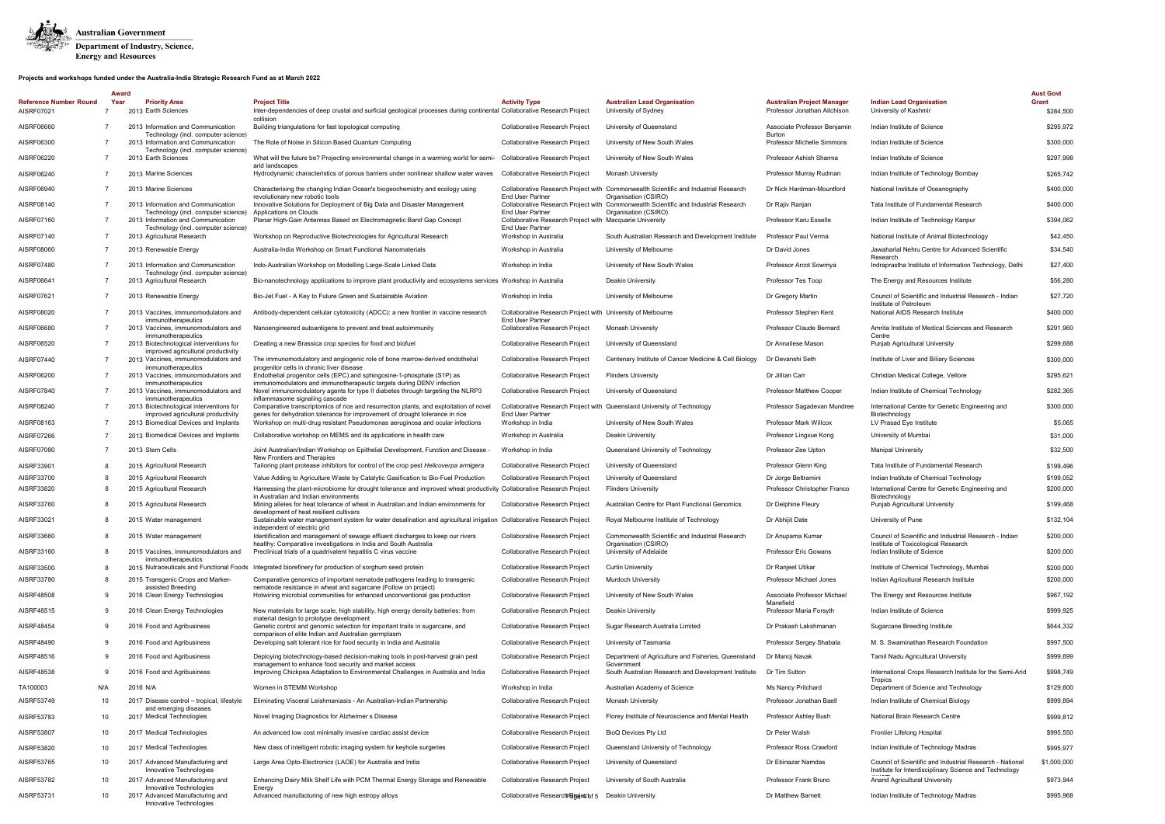

|                                             | Award          |                                                                            |                                                                                                                                                               |                                                                                        |                                                                                                             |                                                                   |                                                                                                                    | <b>Aust Govt</b>   |
|---------------------------------------------|----------------|----------------------------------------------------------------------------|---------------------------------------------------------------------------------------------------------------------------------------------------------------|----------------------------------------------------------------------------------------|-------------------------------------------------------------------------------------------------------------|-------------------------------------------------------------------|--------------------------------------------------------------------------------------------------------------------|--------------------|
| <b>Reference Number Round</b><br>AISRF07021 | Year           | <b>Priority Area</b><br>2013 Earth Sciences                                | <b>Project Title</b><br>Inter-dependencies of deep crustal and surficial geological processes during continental Collaborative Research Project<br>collision  | <b>Activity Type</b>                                                                   | <b>Australian Lead Organisation</b><br>University of Sydney                                                 | <b>Australian Project Manager</b><br>Professor Jonathan Aitchison | <b>Indian Lead Organisation</b><br>University of Kashmir                                                           | Grant<br>\$284,500 |
| AISRF06660                                  |                | 2013 Information and Communication<br>Technology (incl. computer science)  | Building triangulations for fast topological computing                                                                                                        | Collaborative Research Project                                                         | University of Queensland                                                                                    | Associate Professor Benjamin<br><b>Burton</b>                     | Indian Institute of Science                                                                                        | \$295,972          |
| AISRF06300                                  |                | 2013 Information and Communication<br>Technology (incl. computer science)  | The Role of Noise in Silicon Based Quantum Computing                                                                                                          | Collaborative Research Project                                                         | University of New South Wales                                                                               | Professor Michelle Simmons                                        | Indian Institute of Science                                                                                        | \$300,000          |
| AISRF06220                                  |                | 2013 Earth Sciences                                                        | What will the future be? Projecting environmental change in a warming world for semi-<br>arid landscapes                                                      | Collaborative Research Project                                                         | University of New South Wales                                                                               | Professor Ashish Sharma                                           | Indian Institute of Science                                                                                        | \$297,998          |
| AISRF06240                                  | $\overline{7}$ | 2013 Marine Sciences                                                       | Hydrodynamic characteristics of porous barriers under nonlinear shallow water waves                                                                           | Collaborative Research Project                                                         | Monash University                                                                                           | Professor Murray Rudman                                           | Indian Institute of Technology Bombay                                                                              | \$265,742          |
| AISRF06940                                  | $\overline{7}$ | 2013 Marine Sciences                                                       | Characterising the changing Indian Ocean's biogeochemistry and ecology using<br>revolutionary new robotic tools                                               | <b>End User Partner</b>                                                                | Collaborative Research Project with Commonwealth Scientific and Industrial Research<br>Organisation (CSIRO) | Dr Nick Hardman-Mountford                                         | National Institute of Oceanography                                                                                 | \$400,000          |
| AISRF08140                                  |                | 2013 Information and Communication<br>Technology (incl. computer science   | Innovative Solutions for Deployment of Big Data and Disaster Management<br>Applications on Clouds                                                             | <b>End User Partner</b>                                                                | Collaborative Research Project with Commonwealth Scientific and Industrial Research<br>Organisation (CSIRO) | Dr Rajiv Ranjan                                                   | Tata Institute of Fundamental Research                                                                             | \$400,000          |
| AISRF07160                                  |                | 2013 Information and Communication<br>Technology (incl. computer science)  | Planar High-Gain Antennas Based on Electromagnetic Band Gap Concept                                                                                           | Collaborative Research Project with Macquarie University<br><b>End User Partner</b>    |                                                                                                             | Professor Karu Esselle                                            | Indian Institute of Technology Kanpur                                                                              | \$394,062          |
| AISRF07140                                  | $\overline{7}$ | 2013 Agricultural Research                                                 | Workshop on Reproductive Biotechnologies for Agricultural Research                                                                                            | Workshop in Australia                                                                  | South Australian Research and Development Institute                                                         | Professor Paul Verma                                              | National Institute of Animal Biotechnology                                                                         | \$42,450           |
| AISRF08060                                  | -7             | 2013 Renewable Energy                                                      | Australia-India Workshop on Smart Functional Nanomaterials                                                                                                    | Workshop in Australia                                                                  | University of Melbourne                                                                                     | Dr David Jones                                                    | Jawaharlal Nehru Centre for Advanced Scientific<br>Research                                                        | \$34,540           |
| AISRF07480                                  | -7             | 2013 Information and Communication<br>Technology (incl. computer science)  | Indo-Australian Workshop on Modelling Large-Scale Linked Data                                                                                                 | Workshop in India                                                                      | University of New South Wales                                                                               | Professor Arcot Sowmya                                            | Indraprastha Institute of Information Technology, Delhi                                                            | \$27,400           |
| AISRF06641                                  |                | 2013 Agricultural Research                                                 | Bio-nanotechnology applications to improve plant productivity and ecosystems services Workshop in Australia                                                   |                                                                                        | Deakin University                                                                                           | Professor Tes Toop                                                | The Energy and Resources Institute                                                                                 | \$56,280           |
| AISRF07621                                  | $\overline{7}$ | 2013 Renewable Energy                                                      | Bio-Jet Fuel - A Key to Future Green and Sustainable Aviation                                                                                                 | Workshop in India                                                                      | University of Melbourne                                                                                     | Dr Gregory Martin                                                 | Council of Scientific and Industrial Research - Indian<br>Institute of Petroleum                                   | \$27,720           |
| AISRF08020                                  |                | 2013 Vaccines, immunomodulators and<br>immunotherapeutics                  | Antibody-dependent cellular cytotoxicity (ADCC): a new frontier in vaccine research                                                                           | Collaborative Research Project with University of Melbourne<br><b>End User Partner</b> |                                                                                                             | Professor Stephen Kent                                            | National AIDS Research Institute                                                                                   | \$400,000          |
| AISRF06680                                  |                | 2013 Vaccines, immunomodulators and<br>immunotherapeutics                  | Nanoengineered autoantigens to prevent and treat autoimmunity                                                                                                 | Collaborative Research Project                                                         | Monash University                                                                                           | Professor Claude Bernard                                          | Amrita Institute of Medical Sciences and Research<br>Centre                                                        | \$291,960          |
| AISRF06520                                  |                | 2013 Biotechnological interventions for                                    | Creating a new Brassica crop species for food and biofuel                                                                                                     | Collaborative Research Project                                                         | University of Queensland                                                                                    | Dr Annaliese Mason                                                | Punjab Agricultural University                                                                                     | \$299,688          |
| AISRF07440                                  |                | improved agricultural productivity<br>2013 Vaccines, immunomodulators and  | The immunomodulatory and angiogenic role of bone marrow-derived endothelial                                                                                   | <b>Collaborative Research Project</b>                                                  | Centenary Institute of Cancer Medicine & Cell Biology                                                       | Dr Devanshi Seth                                                  | Institute of Liver and Biliary Sciences                                                                            | \$300,000          |
| AISRF06200                                  | -7             | immunotherapeutics<br>2013 Vaccines, immunomodulators and                  | progenitor cells in chronic liver disease<br>Endothelial progenitor cells (EPC) and sphingosine-1-phosphate (S1P) as                                          | Collaborative Research Project                                                         | <b>Flinders University</b>                                                                                  | Dr Jillian Carr                                                   | Christian Medical College, Vellore                                                                                 | \$295,621          |
| AISRF07840                                  |                | immunotherapeutics<br>2013 Vaccines, immunomodulators and                  | immunomodulators and immunotherapeutic targets during DENV infection<br>Novel immunomodulatory agents for type II diabetes through targeting the NLRP3        | Collaborative Research Project                                                         | University of Queensland                                                                                    | <b>Professor Matthew Cooper</b>                                   | Indian Institute of Chemical Technology                                                                            | \$282,365          |
| AISRF08240                                  |                | immunotherapeutics<br>2013 Biotechnological interventions for              | inflammasome signaling cascade<br>Comparative transcriptomics of rice and resurrection plants, and exploitation of novel                                      |                                                                                        | Collaborative Research Project with Queensland University of Technology                                     | Professor Sagadevan Mundree                                       | International Centre for Genetic Engineering and                                                                   | \$300,000          |
| AISRF08163                                  |                | improved agricultural productivity<br>2013 Biomedical Devices and Implants | genes for dehydration tolerance for improvement of drought tolerance in rice<br>Workshop on multi-drug resistant Pseudomonas aeruginosa and ocular infections | <b>End User Partner</b><br>Workshop in India                                           | University of New South Wales                                                                               | Professor Mark Willcox                                            | Biotechnology<br>LV Prasad Eye Institute                                                                           | \$5,065            |
| AISRF07266                                  | $\overline{7}$ | 2013 Biomedical Devices and Implants                                       | Collaborative workshop on MEMS and its applications in health care                                                                                            | Workshop in Australia                                                                  | Deakin University                                                                                           | Professor Lingxue Kong                                            | University of Mumbai                                                                                               | \$31,000           |
| AISRF07080                                  |                | 2013 Stem Cells                                                            | Joint Australian/Indian Workshop on Epithelial Development, Function and Disease                                                                              | Workshop in India                                                                      | Queensland University of Technology                                                                         | Professor Zee Upton                                               | Manipal University                                                                                                 | \$32,500           |
| AISRF33901                                  | 8              | 2015 Agricultural Research                                                 | New Frontiers and Therapies<br>Tailoring plant protease inhibitors for control of the crop pest Helicoverpa armigera                                          | Collaborative Research Project                                                         | University of Queensland                                                                                    | Professor Glenn King                                              | Tata Institute of Fundamental Research                                                                             | \$199,496          |
| AISRF33700                                  |                | 2015 Agricultural Research                                                 | Value Adding to Agriculture Waste by Catalytic Gasification to Bio-Fuel Production                                                                            | Collaborative Research Project                                                         | University of Queensland                                                                                    | Dr Jorge Beltramini                                               | Indian Institute of Chemical Technology                                                                            | \$199,052          |
| AISRF33820                                  | -8             | 2015 Agricultural Research                                                 | Harnessing the plant-microbiome for drought tolerance and improved wheat productivity Collaborative Research Project<br>in Australian and Indian environments |                                                                                        | <b>Flinders University</b>                                                                                  | Professor Christopher Franco                                      | International Centre for Genetic Engineering and<br>Biotechnology                                                  | \$200,000          |
| AISRF33760                                  |                | 2015 Agricultural Research                                                 | Mining alleles for heat tolerance of wheat in Australian and Indian environments for<br>development of heat resilient cultivars                               | Collaborative Research Project                                                         | Australian Centre for Plant Functional Genomics                                                             | Dr Delphine Fleury                                                | <b>Puniab Agricultural University</b>                                                                              | \$199,468          |
| AISRF33021                                  | 8              | 2015 Water management                                                      | Sustainable water management system for water desalination and agricultural irrigation Collaborative Research Project<br>independent of electric grid         |                                                                                        | Royal Melbourne Institute of Technology                                                                     | Dr Abhijit Date                                                   | University of Pune                                                                                                 | \$132,104          |
| AISRF33660                                  |                | 2015 Water management                                                      | Identification and management of sewage effluent discharges to keep our rivers<br>healthy: Comparative investigations in India and South Australia            | Collaborative Research Project                                                         | Commonwealth Scientific and Industrial Research<br>Organisation (CSIRO)                                     | Dr Anupama Kumar                                                  | Council of Scientific and Industrial Research - Indian<br>Institute of Toxicological Research                      | \$200,000          |
| AISRF33160                                  | 8              | 2015 Vaccines, immunomodulators and<br>immunotherapeutics                  | Preclinical trials of a quadrivalent hepatitis C virus vaccine                                                                                                | <b>Collaborative Research Project</b>                                                  | University of Adelaide                                                                                      | Professor Eric Gowans                                             | Indian Institute of Science                                                                                        | \$200,000          |
| AISRF33500                                  | 8              | 2015 Nutraceuticals and Functional Foods                                   | Integrated biorefinery for production of sorghum seed protein                                                                                                 | Collaborative Research Project                                                         | <b>Curtin University</b>                                                                                    | Dr Ranjeet Utikar                                                 | Institute of Chemical Technology, Mumbai                                                                           | \$200,000          |
| AISRF33780                                  | 8              | 2015 Transgenic Crops and Marker-<br>assisted Breeding                     | Comparative genomics of important nematode pathogens leading to transgenic<br>nematode resistance in wheat and sugarcane (Follow on project)                  | Collaborative Research Project                                                         | Murdoch University                                                                                          | Professor Michael Jones                                           | Indian Agricultural Research Institute                                                                             | \$200,000          |
| AISRF48508                                  | 9              | 2016 Clean Energy Technologies                                             | Hotwiring microbial communities for enhanced unconventional gas production                                                                                    | Collaborative Research Project                                                         | University of New South Wales                                                                               | Associate Professor Michael<br>Manefield                          | The Energy and Resources Institute                                                                                 | \$967,192          |
| AISRF48515                                  | -9             | 2016 Clean Energy Technologies                                             | New materials for large scale, high stability, high energy density batteries: from<br>material design to prototype development                                | <b>Collaborative Research Project</b>                                                  | Deakin University                                                                                           | Professor Maria Forsyth                                           | Indian Institute of Science                                                                                        | \$999,925          |
| AISRF48454                                  | -9             | 2016 Food and Agribusiness                                                 | Genetic control and genomic selection for important traits in sugarcane, and<br>comparison of elite Indian and Australian germplasm                           | Collaborative Research Project                                                         | Sugar Research Australia Limited                                                                            | Dr Prakash Lakshmanan                                             | Sugarcane Breeding Institute                                                                                       | \$644,332          |
| AISRF48490                                  | 9              | 2016 Food and Agribusiness                                                 | Developing salt tolerant rice for food security in India and Australia                                                                                        | Collaborative Research Project                                                         | University of Tasmania                                                                                      | Professor Sergey Shabala                                          | M. S. Swaminathan Research Foundation                                                                              | \$997,500          |
| AISRF48516                                  | -9             | 2016 Food and Agribusiness                                                 | Deploying biotechnology-based decision-making tools in post-harvest grain pest<br>management to enhance food security and market access                       | Collaborative Research Project                                                         | Department of Agriculture and Fisheries, Queensland<br>Government                                           | Dr Manoj Navak                                                    | Tamil Nadu Agricultural University                                                                                 | \$999,699          |
| AISRF48538                                  | 9              | 2016 Food and Agribusiness                                                 | Improving Chickpea Adaptation to Environmental Challenges in Australia and India                                                                              | Collaborative Research Project                                                         | South Australian Research and Development Institute                                                         | Dr Tim Sutton                                                     | International Crops Research Institute for the Semi-Arid<br>Tropics                                                | \$998,749          |
| TA100003                                    | N/A            | 2016 N/A                                                                   | Women in STEMM Workshop                                                                                                                                       | Workshop in India                                                                      | Australian Academy of Science                                                                               | Ms Nancy Pritchard                                                | Department of Science and Technology                                                                               | \$129,600          |
| AISRF53749                                  | 10             | 2017 Disease control - tropical, lifestyle<br>and emerging diseases        | Eliminating Visceral Leishmaniasis - An Australian-Indian Partnership                                                                                         | Collaborative Research Project                                                         | <b>Monash University</b>                                                                                    | Professor Jonathan Baell                                          | Indian Institute of Chemical Biology                                                                               | \$999,894          |
| AISRF53783                                  | 10             | 2017 Medical Technologies                                                  | Novel Imaging Diagnostics for Alzheimer s Disease                                                                                                             | Collaborative Research Project                                                         | Florey Institute of Neuroscience and Mental Health                                                          | Professor Ashley Bush                                             | National Brain Research Centre                                                                                     | \$999,812          |
| AISRF53807                                  | 10             | 2017 Medical Technologies                                                  | An advanced low cost minimally invasive cardiac assist device                                                                                                 | Collaborative Research Project                                                         | BioQ Devices Pty Ltd                                                                                        | Dr Peter Walsh                                                    | Frontier Lifelong Hospital                                                                                         | \$995,550          |
| AISRF53820                                  | 10             | 2017 Medical Technologies                                                  | New class of intelligent robotic imaging system for keyhole surgeries                                                                                         | Collaborative Research Project                                                         | Queensland University of Technology                                                                         | Professor Ross Crawford                                           | Indian Institute of Technology Madras                                                                              | \$995,977          |
| AISRF53765                                  | 10             | 2017 Advanced Manufacturing and<br>Innovative Technologies                 | Large Area Opto-Electronics (LAOE) for Australia and India                                                                                                    | Collaborative Research Project                                                         | University of Queensland                                                                                    | Dr Ebinazar Namdas                                                | Council of Scientific and Industrial Research - National<br>Institute for Interdisciplinary Science and Technology | \$1,000,000        |
| AISRF53782                                  | 10             | 2017 Advanced Manufacturing and<br>Innovative Technologies                 | Enhancing Dairy Milk Shelf Life with PCM Thermal Energy Storage and Renewable<br>Energy                                                                       | Collaborative Research Project                                                         | University of South Australia                                                                               | Professor Frank Bruno                                             | Anand Agricultural University                                                                                      | \$973,944          |
| AISRF53731                                  | 10             | 2017 Advanced Manufacturing and<br>Innovative Technologies                 | Advanced manufacturing of new high entropy alloys                                                                                                             | Collaborative Research Bunger 5                                                        | Deakin University                                                                                           | Dr Matthew Barnett                                                | Indian Institute of Technology Madras                                                                              | \$995,968          |